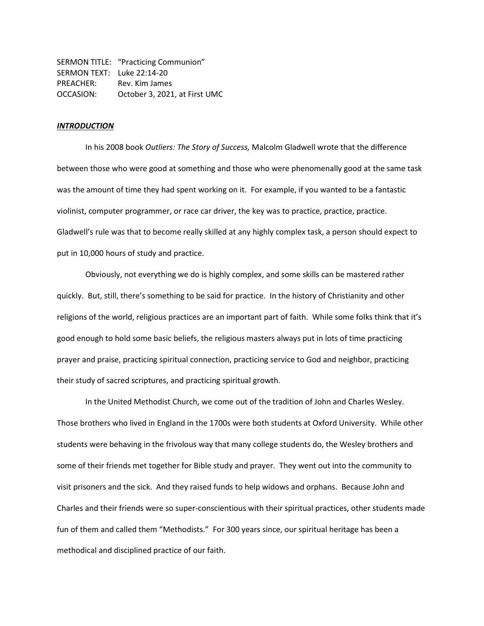SERMON TITLE: "Practicing Communion" SERMON TEXT: Luke 22:14-20 PREACHER: Rev. Kim James OCCASION: October 3, 2021, at First UMC

#### *INTRODUCTION*

In his 2008 book *Outliers: The Story of Success,* Malcolm Gladwell wrote that the difference between those who were good at something and those who were phenomenally good at the same task was the amount of time they had spent working on it. For example, if you wanted to be a fantastic violinist, computer programmer, or race car driver, the key was to practice, practice, practice. Gladwell's rule was that to become really skilled at any highly complex task, a person should expect to put in 10,000 hours of study and practice.

Obviously, not everything we do is highly complex, and some skills can be mastered rather quickly. But, still, there's something to be said for practice. In the history of Christianity and other religions of the world, religious practices are an important part of faith. While some folks think that it's good enough to hold some basic beliefs, the religious masters always put in lots of time practicing prayer and praise, practicing spiritual connection, practicing service to God and neighbor, practicing their study of sacred scriptures, and practicing spiritual growth.

In the United Methodist Church, we come out of the tradition of John and Charles Wesley. Those brothers who lived in England in the 1700s were both students at Oxford University. While other students were behaving in the frivolous way that many college students do, the Wesley brothers and some of their friends met together for Bible study and prayer. They went out into the community to visit prisoners and the sick. And they raised funds to help widows and orphans. Because John and Charles and their friends were so super-conscientious with their spiritual practices, other students made fun of them and called them "Methodists." For 300 years since, our spiritual heritage has been a methodical and disciplined practice of our faith.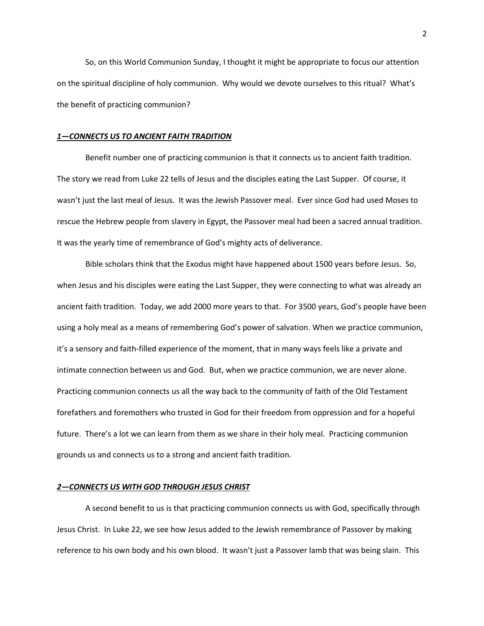So, on this World Communion Sunday, I thought it might be appropriate to focus our attention on the spiritual discipline of holy communion. Why would we devote ourselves to this ritual? What's the benefit of practicing communion?

# *1—CONNECTS US TO ANCIENT FAITH TRADITION*

Benefit number one of practicing communion is that it connects us to ancient faith tradition. The story we read from Luke 22 tells of Jesus and the disciples eating the Last Supper. Of course, it wasn't just the last meal of Jesus. It was the Jewish Passover meal. Ever since God had used Moses to rescue the Hebrew people from slavery in Egypt, the Passover meal had been a sacred annual tradition. It was the yearly time of remembrance of God's mighty acts of deliverance.

Bible scholars think that the Exodus might have happened about 1500 years before Jesus. So, when Jesus and his disciples were eating the Last Supper, they were connecting to what was already an ancient faith tradition. Today, we add 2000 more years to that. For 3500 years, God's people have been using a holy meal as a means of remembering God's power of salvation. When we practice communion, it's a sensory and faith-filled experience of the moment, that in many ways feels like a private and intimate connection between us and God. But, when we practice communion, we are never alone. Practicing communion connects us all the way back to the community of faith of the Old Testament forefathers and foremothers who trusted in God for their freedom from oppression and for a hopeful future. There's a lot we can learn from them as we share in their holy meal. Practicing communion grounds us and connects us to a strong and ancient faith tradition.

## *2—CONNECTS US WITH GOD THROUGH JESUS CHRIST*

A second benefit to us is that practicing communion connects us with God, specifically through Jesus Christ. In Luke 22, we see how Jesus added to the Jewish remembrance of Passover by making reference to his own body and his own blood. It wasn't just a Passover lamb that was being slain. This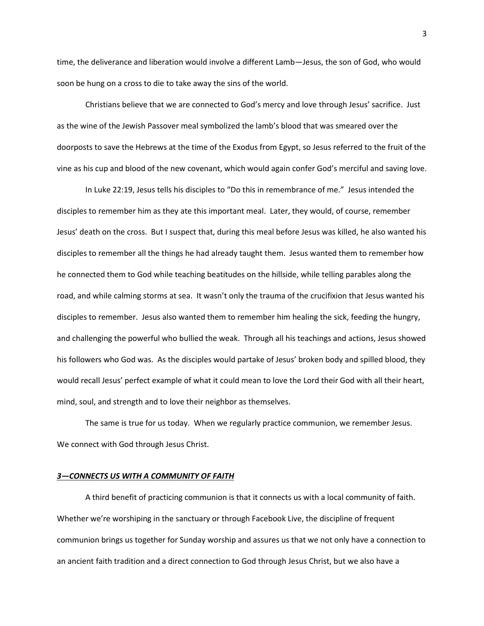time, the deliverance and liberation would involve a different Lamb—Jesus, the son of God, who would soon be hung on a cross to die to take away the sins of the world.

Christians believe that we are connected to God's mercy and love through Jesus' sacrifice. Just as the wine of the Jewish Passover meal symbolized the lamb's blood that was smeared over the doorposts to save the Hebrews at the time of the Exodus from Egypt, so Jesus referred to the fruit of the vine as his cup and blood of the new covenant, which would again confer God's merciful and saving love.

In Luke 22:19, Jesus tells his disciples to "Do this in remembrance of me." Jesus intended the disciples to remember him as they ate this important meal. Later, they would, of course, remember Jesus' death on the cross. But I suspect that, during this meal before Jesus was killed, he also wanted his disciples to remember all the things he had already taught them. Jesus wanted them to remember how he connected them to God while teaching beatitudes on the hillside, while telling parables along the road, and while calming storms at sea. It wasn't only the trauma of the crucifixion that Jesus wanted his disciples to remember. Jesus also wanted them to remember him healing the sick, feeding the hungry, and challenging the powerful who bullied the weak. Through all his teachings and actions, Jesus showed his followers who God was. As the disciples would partake of Jesus' broken body and spilled blood, they would recall Jesus' perfect example of what it could mean to love the Lord their God with all their heart, mind, soul, and strength and to love their neighbor as themselves.

The same is true for us today. When we regularly practice communion, we remember Jesus. We connect with God through Jesus Christ.

## *3—CONNECTS US WITH A COMMUNITY OF FAITH*

A third benefit of practicing communion is that it connects us with a local community of faith. Whether we're worshiping in the sanctuary or through Facebook Live, the discipline of frequent communion brings us together for Sunday worship and assures us that we not only have a connection to an ancient faith tradition and a direct connection to God through Jesus Christ, but we also have a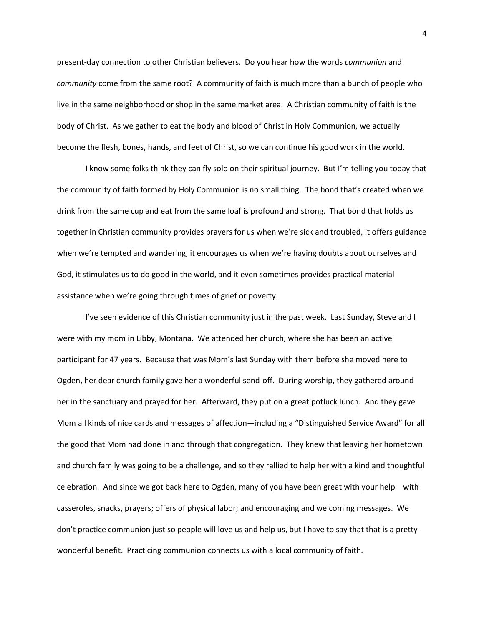present-day connection to other Christian believers. Do you hear how the words *communion* and *community* come from the same root? A community of faith is much more than a bunch of people who live in the same neighborhood or shop in the same market area. A Christian community of faith is the body of Christ. As we gather to eat the body and blood of Christ in Holy Communion, we actually become the flesh, bones, hands, and feet of Christ, so we can continue his good work in the world.

I know some folks think they can fly solo on their spiritual journey. But I'm telling you today that the community of faith formed by Holy Communion is no small thing. The bond that's created when we drink from the same cup and eat from the same loaf is profound and strong. That bond that holds us together in Christian community provides prayers for us when we're sick and troubled, it offers guidance when we're tempted and wandering, it encourages us when we're having doubts about ourselves and God, it stimulates us to do good in the world, and it even sometimes provides practical material assistance when we're going through times of grief or poverty.

I've seen evidence of this Christian community just in the past week. Last Sunday, Steve and I were with my mom in Libby, Montana. We attended her church, where she has been an active participant for 47 years. Because that was Mom's last Sunday with them before she moved here to Ogden, her dear church family gave her a wonderful send-off. During worship, they gathered around her in the sanctuary and prayed for her. Afterward, they put on a great potluck lunch. And they gave Mom all kinds of nice cards and messages of affection—including a "Distinguished Service Award" for all the good that Mom had done in and through that congregation. They knew that leaving her hometown and church family was going to be a challenge, and so they rallied to help her with a kind and thoughtful celebration. And since we got back here to Ogden, many of you have been great with your help—with casseroles, snacks, prayers; offers of physical labor; and encouraging and welcoming messages. We don't practice communion just so people will love us and help us, but I have to say that that is a prettywonderful benefit. Practicing communion connects us with a local community of faith.